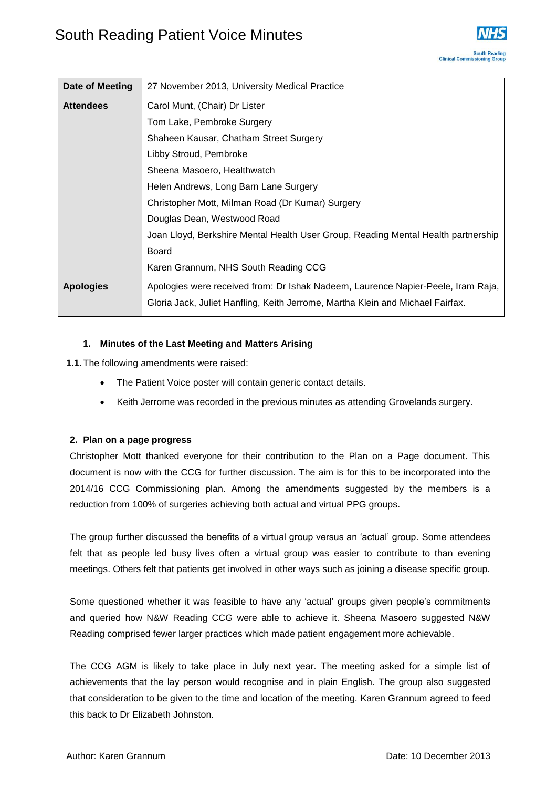

| Date of Meeting  | 27 November 2013, University Medical Practice                                     |
|------------------|-----------------------------------------------------------------------------------|
| <b>Attendees</b> | Carol Munt, (Chair) Dr Lister                                                     |
|                  | Tom Lake, Pembroke Surgery                                                        |
|                  | Shaheen Kausar, Chatham Street Surgery                                            |
|                  | Libby Stroud, Pembroke                                                            |
|                  | Sheena Masoero, Healthwatch                                                       |
|                  | Helen Andrews, Long Barn Lane Surgery                                             |
|                  | Christopher Mott, Milman Road (Dr Kumar) Surgery                                  |
|                  | Douglas Dean, Westwood Road                                                       |
|                  | Joan Lloyd, Berkshire Mental Health User Group, Reading Mental Health partnership |
|                  | Board                                                                             |
|                  | Karen Grannum, NHS South Reading CCG                                              |
| <b>Apologies</b> | Apologies were received from: Dr Ishak Nadeem, Laurence Napier-Peele, Iram Raja,  |
|                  | Gloria Jack, Juliet Hanfling, Keith Jerrome, Martha Klein and Michael Fairfax.    |

## **1. Minutes of the Last Meeting and Matters Arising**

**1.1.**The following amendments were raised:

- The Patient Voice poster will contain generic contact details.
- Keith Jerrome was recorded in the previous minutes as attending Grovelands surgery.

#### **2. Plan on a page progress**

Christopher Mott thanked everyone for their contribution to the Plan on a Page document. This document is now with the CCG for further discussion. The aim is for this to be incorporated into the 2014/16 CCG Commissioning plan. Among the amendments suggested by the members is a reduction from 100% of surgeries achieving both actual and virtual PPG groups.

The group further discussed the benefits of a virtual group versus an 'actual' group. Some attendees felt that as people led busy lives often a virtual group was easier to contribute to than evening meetings. Others felt that patients get involved in other ways such as joining a disease specific group.

Some questioned whether it was feasible to have any 'actual' groups given people's commitments and queried how N&W Reading CCG were able to achieve it. Sheena Masoero suggested N&W Reading comprised fewer larger practices which made patient engagement more achievable.

The CCG AGM is likely to take place in July next year. The meeting asked for a simple list of achievements that the lay person would recognise and in plain English. The group also suggested that consideration to be given to the time and location of the meeting. Karen Grannum agreed to feed this back to Dr Elizabeth Johnston.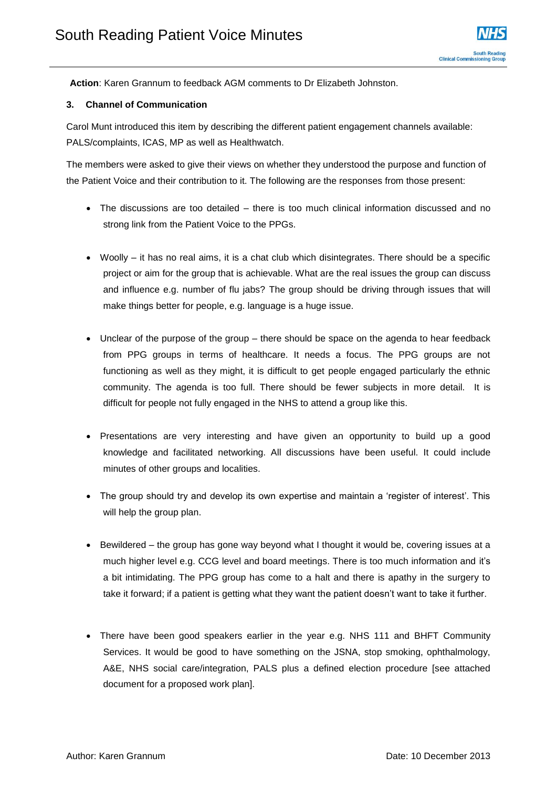**Action**: Karen Grannum to feedback AGM comments to Dr Elizabeth Johnston.

### **3. Channel of Communication**

Carol Munt introduced this item by describing the different patient engagement channels available: PALS/complaints, ICAS, MP as well as Healthwatch.

The members were asked to give their views on whether they understood the purpose and function of the Patient Voice and their contribution to it. The following are the responses from those present:

- The discussions are too detailed there is too much clinical information discussed and no strong link from the Patient Voice to the PPGs.
- Woolly it has no real aims, it is a chat club which disintegrates. There should be a specific project or aim for the group that is achievable. What are the real issues the group can discuss and influence e.g. number of flu jabs? The group should be driving through issues that will make things better for people, e.g. language is a huge issue.
- Unclear of the purpose of the group there should be space on the agenda to hear feedback from PPG groups in terms of healthcare. It needs a focus. The PPG groups are not functioning as well as they might, it is difficult to get people engaged particularly the ethnic community. The agenda is too full. There should be fewer subjects in more detail. It is difficult for people not fully engaged in the NHS to attend a group like this.
- Presentations are very interesting and have given an opportunity to build up a good knowledge and facilitated networking. All discussions have been useful. It could include minutes of other groups and localities.
- The group should try and develop its own expertise and maintain a 'register of interest'. This will help the group plan.
- Bewildered the group has gone way beyond what I thought it would be, covering issues at a much higher level e.g. CCG level and board meetings. There is too much information and it's a bit intimidating. The PPG group has come to a halt and there is apathy in the surgery to take it forward; if a patient is getting what they want the patient doesn't want to take it further.
- There have been good speakers earlier in the year e.g. NHS 111 and BHFT Community Services. It would be good to have something on the JSNA, stop smoking, ophthalmology, A&E, NHS social care/integration, PALS plus a defined election procedure [see attached document for a proposed work plan].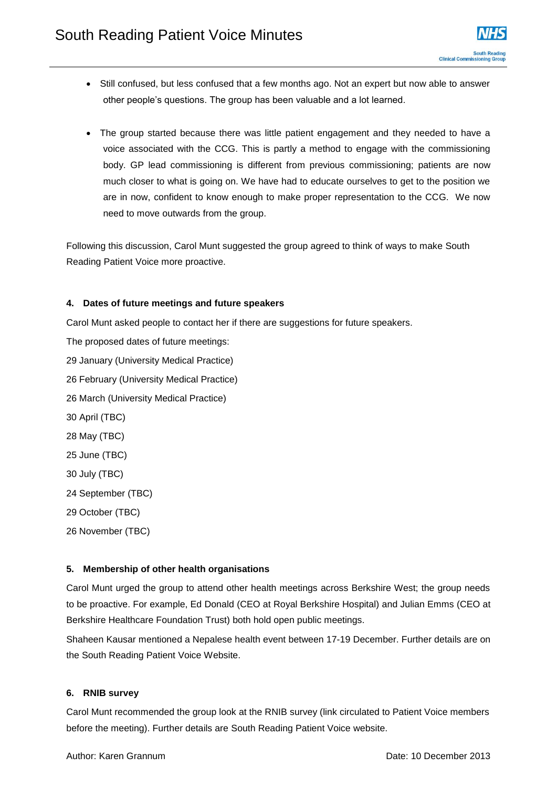- Still confused, but less confused that a few months ago. Not an expert but now able to answer other people's questions. The group has been valuable and a lot learned.
- The group started because there was little patient engagement and they needed to have a voice associated with the CCG. This is partly a method to engage with the commissioning body. GP lead commissioning is different from previous commissioning; patients are now much closer to what is going on. We have had to educate ourselves to get to the position we are in now, confident to know enough to make proper representation to the CCG. We now need to move outwards from the group.

Following this discussion, Carol Munt suggested the group agreed to think of ways to make South Reading Patient Voice more proactive.

## **4. Dates of future meetings and future speakers**

Carol Munt asked people to contact her if there are suggestions for future speakers.

The proposed dates of future meetings: 29 January (University Medical Practice) 26 February (University Medical Practice) 26 March (University Medical Practice) 30 April (TBC) 28 May (TBC) 25 June (TBC) 30 July (TBC) 24 September (TBC) 29 October (TBC) 26 November (TBC)

#### **5. Membership of other health organisations**

Carol Munt urged the group to attend other health meetings across Berkshire West; the group needs to be proactive. For example, Ed Donald (CEO at Royal Berkshire Hospital) and Julian Emms (CEO at Berkshire Healthcare Foundation Trust) both hold open public meetings.

Shaheen Kausar mentioned a Nepalese health event between 17-19 December. Further details are on the South Reading Patient Voice Website.

## **6. RNIB survey**

Carol Munt recommended the group look at the RNIB survey (link circulated to Patient Voice members before the meeting). Further details are South Reading Patient Voice website.